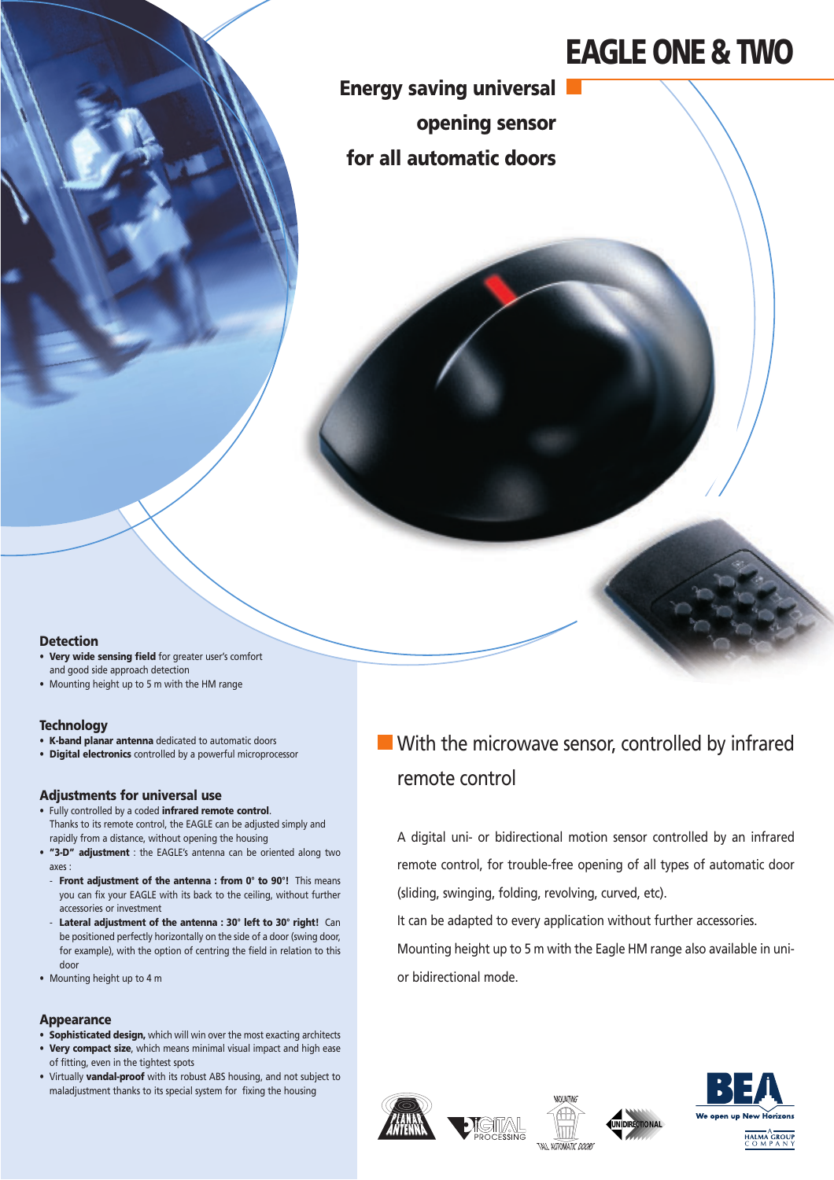# **EAGLE ONE & TWO**

H

**Energy saving universal opening sensor for all automatic doors**

#### **Detection**

- **Very wide sensing field** for greater user's comfort and good side approach detection
- Mounting height up to 5 m with the HM range

#### **Technology**

- **K-band planar antenna** dedicated to automatic doors
- **Digital electronics** controlled by a powerful microprocessor

#### **Adjustments for universal use**

- Fully controlled by a coded **infrared remote control**. Thanks to its remote control, the EAGLE can be adjusted simply and rapidly from a distance, without opening the housing
- **"3-D" adjustment** : the EAGLE's antenna can be oriented along two axes :
- **Front adjustment of the antenna : from 0° to 90°!** This means you can fix your EAGLE with its back to the ceiling, without further accessories or investment
- **Lateral adjustment of the antenna : 30° left to 30° right!** Can be positioned perfectly horizontally on the side of a door (swing door, for example), with the option of centring the field in relation to this door
- Mounting height up to 4 m

#### **Appearance**

- **Sophisticated design,** which will win over the most exacting architects
- **Very compact size**, which means minimal visual impact and high ease of fitting, even in the tightest spots
- Virtually **vandal-proof** with its robust ABS housing, and not subject to maladjustment thanks to its special system for fixing the housing

## **With the microwave sensor, controlled by infrared** remote control

A digital uni- or bidirectional motion sensor controlled by an infrared remote control, for trouble-free opening of all types of automatic door (sliding, swinging, folding, revolving, curved, etc).

It can be adapted to every application without further accessories.

Mounting height up to 5 m with the Eagle HM range also available in unior bidirectional mode.